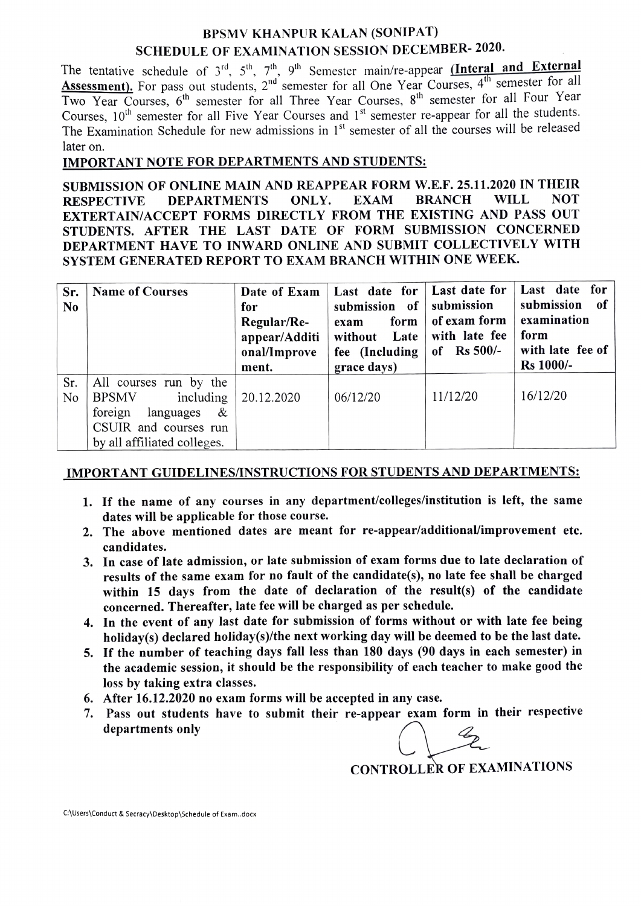## BPSMV KHANPUR KALAN (SONIPAT) SCHEDULE OF EXAMINATION SESSION DECEMBER- 2020.

The tentative schedule of  $3^{rd}$ ,  $5^{th}$ ,  $7^{th}$ ,  $9^{th}$  Semester main/re-appear (Interal and External Assessment). For pass out students,  $2<sup>nd</sup>$  semester for all One Year Courses,  $4<sup>th</sup>$  semester for all Two Year Courses, 6<sup>th</sup> semester for all Three Year Courses, 8<sup>th</sup> semester for all Four Year Courses,  $10^{th}$  semester for all Five Year Courses and  $1^{st}$  semester re-appear for all the students. The Examination Schedule for new admissions in  $1<sup>st</sup>$  semester of all the courses will be released later on.

## IMPORTANT NOTE FOR DEPARTMENTS AND STUDENTS:

SUBMISSION OF ONLINE MAIN AND REAPPEAR FORM W.E.F. 25.11.2020 IN THEIR RESPECTIVE DEPARTMENTS ONLY. EXAM BRANCH WILL NOT EXTERTAIN/ACCEPT FORMS DIRECTLY FROM THE EXISTING AND PASS OUT STUDENTS. AFTER THE LAST DATE OF FORM SUBMISSION CONCERNED DEPARTMENT HAVE TO INWARD ONLINE AND SUBMIT COLLECTIVELY WITH SYSTEM GENERATED REPORT TO EXAM BRANCH WITHIN ONE WEEK.

| Sr.<br>N <sub>0</sub> | <b>Name of Courses</b>                                                                                                                   | Date of Exam<br>for<br>Regular/Re-<br>appear/Additi<br>onal/Improve<br>ment. | Last date for<br>of<br>submission<br>form<br>exam<br>Late<br>without<br>fee (Including)<br>grace days) | Last date for<br>submission<br>of exam form<br>with late fee<br>of Rs $500/-$ | Last date for<br>submission<br>of<br>examination<br>form<br>with late fee of<br><b>Rs</b> 1000/- |
|-----------------------|------------------------------------------------------------------------------------------------------------------------------------------|------------------------------------------------------------------------------|--------------------------------------------------------------------------------------------------------|-------------------------------------------------------------------------------|--------------------------------------------------------------------------------------------------|
| Sr.<br>No             | All courses run by the<br>including<br><b>BPSMV</b><br>foreign<br>&<br>languages<br>CSUIR and courses run<br>by all affiliated colleges. | 20.12.2020                                                                   | 06/12/20                                                                                               | 11/12/20                                                                      | 16/12/20                                                                                         |

## IMPORTANT GUIDELINES/INSTRUCTIONS FOR STUDENTS AND DEPARTMENTS:

- 1. If the name of any courses in any department/colleges/institution is left, the same dates will be applicable for those course.
- 2. The above mentioned dates are meant for re-appear/additionalimprovement etc. candidates.
- 3. In case of late admission, or late submission of exam forms due to late declaration of results of the same exam for no fault of the candidate(s), no late fee shall be charged within 15 days from the date of declaration of the result(s) of the candidate concerned. Thereafter, late fee will be charged as per schedule.
- 4. In the event of any last date for submission of forms without or with late fee being holiday(s) declared holiday(s)/the next working day will be deemed to be the last date.
- 5. If the number of teaching days fall less than 180 days (90 days in each semester) in the academie session, it should be the responsibility of each teacher to make good the loss by taking extra classes.
- 6. After 16.12.2020 no exam forms will be accepted in any case.
- 7. Pass out students have to submit their re-appear exam form in their respective departments only<br>CONTROL

CONTROLLER OF EXAMINATIONS

C:\Users\Conduct & Secracy\Desktop\Schedule of Exam..docx